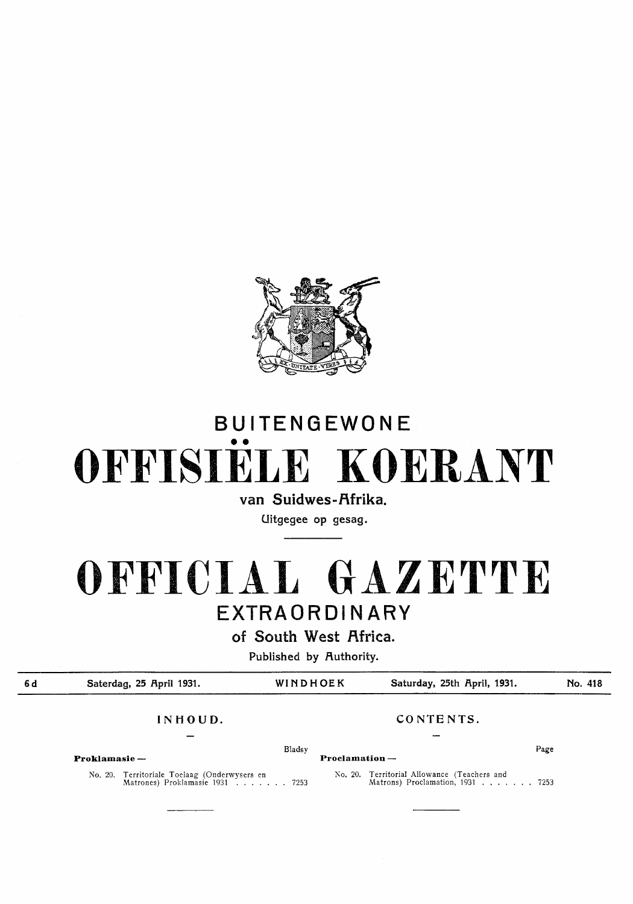

# BUITENGEWONE •• OFFISIELE KOERANT

van Suidwes-Afrika.

Uitgegee op gesag.

## **OFFICIAL GAZETTE**  EXTRAORDINARY

of South West Africa.

Published by Authority.

6d Saterdag, 25 April 1931. WINDHOEK Saturday, 25th April, 1931. No. 418 **INHOUD. CONTENTS.**  Bladsy Page Page 2014 and 2014 and 2014 and 2014 and 2014 and 2014 and 2014 and 2014 and 2014 and 2014 and 201 **Proklamasie** - **Proclamation** - **No.** 20. Territoriale Toelaag (Onderwysers en Matrones) Proklamasie 1931 ....... 7253 No. 20. Territorial Allowance (Teachers and Matrons) Proclamation, 1931 . . . . . . . 7253